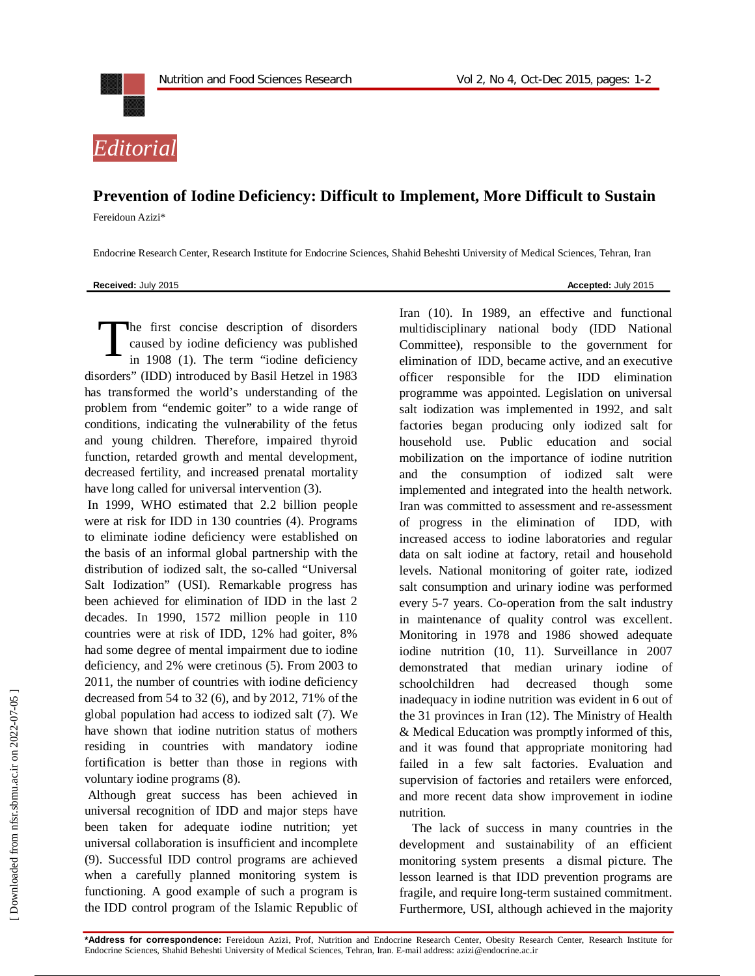



## **Prevention of Iodine Deficiency: Difficult to Implement, More Difficult to Sustain**

Fereidoun Azizi\*

Endocrine Research Center, Research Institute for Endocrine Sciences, Shahid Beheshti University of Medical Sciences, Tehran, Iran

**Received:** July 2015 **Accepted:** *July* **2015** 

he first concise description of disorders caused by iodine deficiency was published in 1908 (1). The term "iodine deficiency disorders" (IDD) introduced by Basil Hetzel in 1983 has transformed the world's understanding of the problem from "endemic goiter" to a wide range of conditions, indicating the vulnerability of the fetus and young children. Therefore, impaired thyroid function, retarded growth and mental development, decreased fertility, and increased prenatal mortality have long called for universal intervention (3). T

In 1999, WHO estimated that 2.2 billion people were at risk for IDD in 130 countries (4). Programs to eliminate iodine deficiency were established on the basis of an informal global partnership with the distribution of iodized salt, the so-called "Universal Salt Iodization" (USI). Remarkable progress has been achieved for elimination of IDD in the last 2 decades. In 1990, 1572 million people in 110 countries were at risk of IDD, 12% had goiter, 8% had some degree of mental impairment due to iodine deficiency, and 2% were cretinous (5). From 2003 to 2011, the number of countries with iodine deficiency decreased from 54 to 32 (6), and by 2012, 71% of the global population had access to iodized salt (7). We have shown that iodine nutrition status of mothers residing in countries with mandatory iodine fortification is better than those in regions with voluntary iodine programs (8).

Although great success has been achieved in universal recognition of IDD and major steps have been taken for adequate iodine nutrition; yet universal collaboration is insufficient and incomplete (9). Successful IDD control programs are achieved when a carefully planned monitoring system is functioning. A good example of such a program is the IDD control program of the Islamic Republic of

Iran (10). In 1989, an effective and functional multidisciplinary national body (IDD National Committee), responsible to the government for elimination of IDD, became active, and an executive officer responsible for the IDD elimination programme was appointed. Legislation on universal salt iodization was implemented in 1992, and salt factories began producing only iodized salt for household use. Public education and social mobilization on the importance of iodine nutrition and the consumption of iodized salt were implemented and integrated into the health network. Iran was committed to assessment and re-assessment of progress in the elimination of IDD, with increased access to iodine laboratories and regular data on salt iodine at factory, retail and household levels. National monitoring of goiter rate, iodized salt consumption and urinary iodine was performed every 5-7 years. Co-operation from the salt industry in maintenance of quality control was excellent. Monitoring in 1978 and 1986 showed adequate iodine nutrition (10, 11). Surveillance in 2007 demonstrated that median urinary iodine of schoolchildren had decreased though some inadequacy in iodine nutrition was evident in 6 out of the 31 provinces in Iran (12). The Ministry of Health & Medical Education was promptly informed of this, and it was found that appropriate monitoring had failed in a few salt factories. Evaluation and supervision of factories and retailers were enforced, and more recent data show improvement in iodine nutrition.

The lack of success in many countries in the development and sustainability of an efficient monitoring system presents a dismal picture. The lesson learned is that IDD prevention programs are fragile, and require long-term sustained commitment. Furthermore, USI, although achieved in the majority

**\*Address for correspondence:** Fereidoun Azizi, Prof, Nutrition and Endocrine Research Center, Obesity Research Center, Research Institute for Endocrine Sciences, Shahid Beheshti University of Medical Sciences, Tehran, Iran. E-mail address: azizi@endocrine.ac.ir